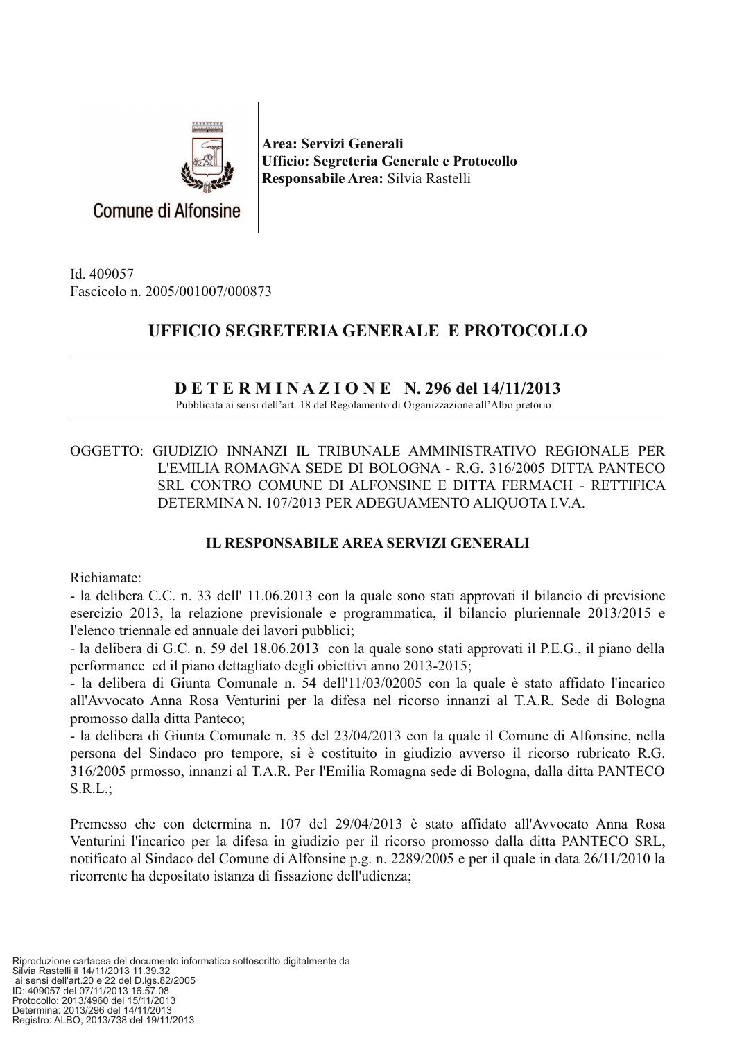

Area: Servizi Generali Ufficio: Segreteria Generale e Protocollo Responsabile Area: Silvia Rastelli

Id. 409057 Fascicolo n. 2005/001007/000873

## UFFICIO SEGRETERIA GENERALE E PROTOCOLLO

## $D E T E R M I N A Z I O N E N. 296$  del 14/11/2013

Pubblicata ai sensi dell'art. 18 del Regolamento di Organizzazione all'Albo pretorio

OGGETTO: GIUDIZIO INNANZI IL TRIBUNALE AMMINISTRATIVO REGIONALE PER L'EMILIA ROMAGNA SEDE DI BOLOGNA - R.G. 316/2005 DITTA PANTECO SRL CONTRO COMUNE DI ALFONSINE E DITTA FERMACH - RETTIFICA DETERMINA N. 107/2013 PER ADEGUAMENTO ALIQUOTA I.V.A.

## **IL RESPONSABILE AREA SERVIZI GENERALI**

Richiamate:

- la delibera C.C. n. 33 dell' 11.06.2013 con la quale sono stati approvati il bilancio di previsione esercizio 2013, la relazione previsionale e programmatica, il bilancio pluriennale 2013/2015 e l'elenco triennale ed annuale dei lavori pubblici:

- la delibera di G.C. n. 59 del 18.06.2013 con la quale sono stati approvati il P.E.G., il piano della performance ed il piano dettagliato degli obiettivi anno 2013-2015;

- la delibera di Giunta Comunale n. 54 dell'11/03/02005 con la quale è stato affidato l'incarico all'Avvocato Anna Rosa Venturini per la difesa nel ricorso innanzi al T.A.R. Sede di Bologna promosso dalla ditta Panteco;

- la delibera di Giunta Comunale n. 35 del 23/04/2013 con la quale il Comune di Alfonsine, nella persona del Sindaco pro tempore, si è costituito in giudizio avverso il ricorso rubricato R.G. 316/2005 prmosso, innanzi al T.A.R. Per l'Emilia Romagna sede di Bologna, dalla ditta PANTECO  $S.R.L.:$ 

Premesso che con determina n. 107 del 29/04/2013 è stato affidato all'Avvocato Anna Rosa Venturini l'incarico per la difesa in giudizio per il ricorso promosso dalla ditta PANTECO SRL, notificato al Sindaco del Comune di Alfonsine p.g. n. 2289/2005 e per il quale in data 26/11/2010 la ricorrente ha depositato istanza di fissazione dell'udienza;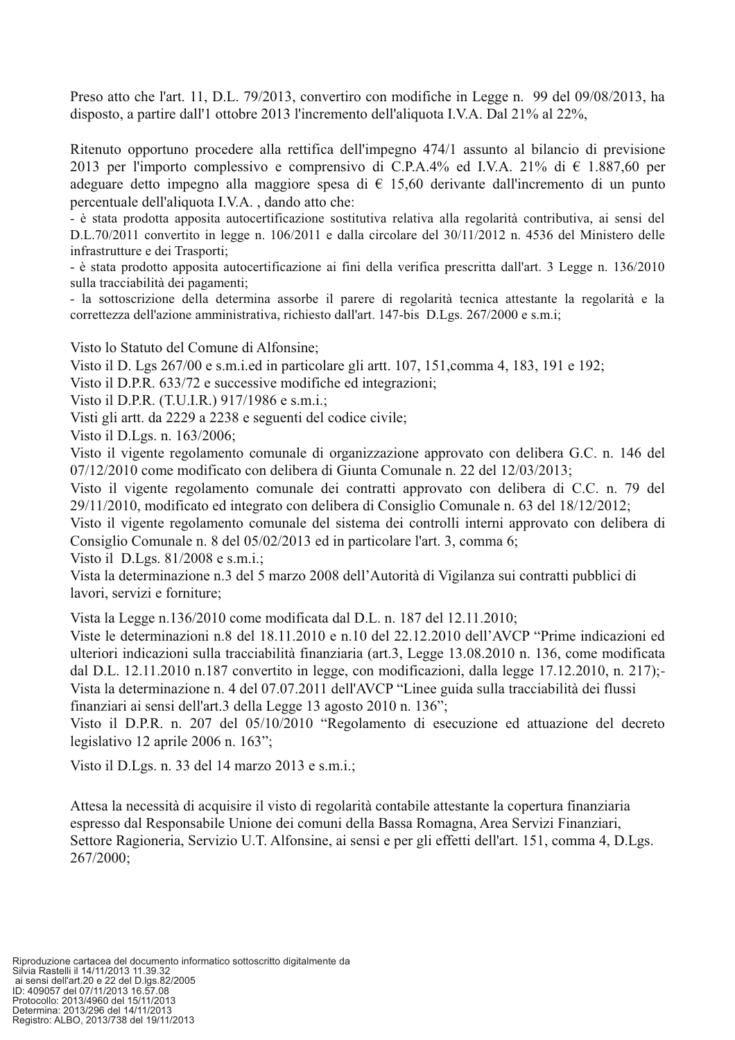Preso atto che l'art. 11, D.L. 79/2013, convertiro con modifiche in Legge n. 99 del 09/08/2013, ha disposto, a partire dall'1 ottobre 2013 l'incremento dell'aliquota I.V.A. Dal 21% al 22%,

Ritenuto opportuno procedere alla rettifica dell'impegno 474/1 assunto al bilancio di previsione 2013 per l'importo complessivo e comprensivo di C.P.A.4% ed I.V.A. 21% di  $\epsilon$  1.887,60 per adeguare detto impegno alla maggiore spesa di  $\epsilon$  15.60 derivante dall'incremento di un punto percentuale dell'aliquota I.V.A., dando atto che:

- è stata prodotta apposita autocertificazione sostitutiva relativa alla regolarità contributiva, ai sensi del D.L.70/2011 convertito in legge n. 106/2011 e dalla circolare del 30/11/2012 n. 4536 del Ministero delle infrastrutture e dei Trasporti;

- è stata prodotto apposita autocertificazione ai fini della verifica prescritta dall'art. 3 Legge n. 136/2010 sulla tracciabilità dei pagamenti;

- la sottoscrizione della determina assorbe il parere di regolarità tecnica attestante la regolarità e la correttezza dell'azione amministrativa, richiesto dall'art. 147-bis D.Lgs. 267/2000 e s.m.i;

Visto lo Statuto del Comune di Alfonsine;

Visto il D. Lgs 267/00 e s.m.i.ed in particolare gli artt. 107, 151, comma 4, 183, 191 e 192;

Visto il D.P.R. 633/72 e successive modifiche ed integrazioni;

Visto il D.P.R. (T.U.I.R.) 917/1986 e s.m.i.;

Visti gli artt. da 2229 a 2238 e seguenti del codice civile;

Visto il D.Lgs. n. 163/2006;

Visto il vigente regolamento comunale di organizzazione approvato con delibera G.C. n. 146 del  $07/12/2010$  come modificato con delibera di Giunta Comunale n. 22 del 12/03/2013;

Visto il vigente regolamento comunale dei contratti approvato con delibera di C.C. n. 79 del 29/11/2010, modificato ed integrato con delibera di Consiglio Comunale n. 63 del 18/12/2012;

Visto il vigente regolamento comunale del sistema dei controlli interni approvato con delibera di Consiglio Comunale n. 8 del 05/02/2013 ed in particolare l'art. 3, comma 6;

Visto il D.Lgs.  $81/2008$  e s.m.i.;

Vista la determinazione n.3 del 5 marzo 2008 dell'Autorità di Vigilanza sui contratti pubblici di lavori, servizi e forniture;

Vista la Legge n.136/2010 come modificata dal D.L. n. 187 del 12.11.2010;

Viste le determinazioni n.8 del 18.11.2010 e n.10 del 22.12.2010 dell'AVCP "Prime indicazioni ed ulteriori indicazioni sulla tracciabilità finanziaria (art.3, Legge 13.08.2010 n. 136, come modificata dal D.L. 12.11.2010 n.187 convertito in legge, con modificazioni, dalla legge 17.12.2010, n. 217); Vista la determinazione n. 4 del 07.07.2011 dell'AVCP "Linee guida sulla tracciabilità dei flussi finanziari ai sensi dell'art.3 della Legge 13 agosto 2010 n. 136";

Visto il D.P.R. n. 207 del 05/10/2010 "Regolamento di esecuzione ed attuazione del decreto legislativo 12 aprile 2006 n.  $163$ ";

Visto il D.Lgs. n. 33 del 14 marzo 2013 e s.m.i.;

Attesa la necessità di acquisire il visto di regolarità contabile attestante la copertura finanziaria espresso dal Responsabile Unione dei comuni della Bassa Romagna, Area Servizi Finanziari, Settore Ragioneria, Servizio U.T. Alfonsine, ai sensi e per gli effetti dell'art. 151, comma 4, D.Lgs. 267/2000;